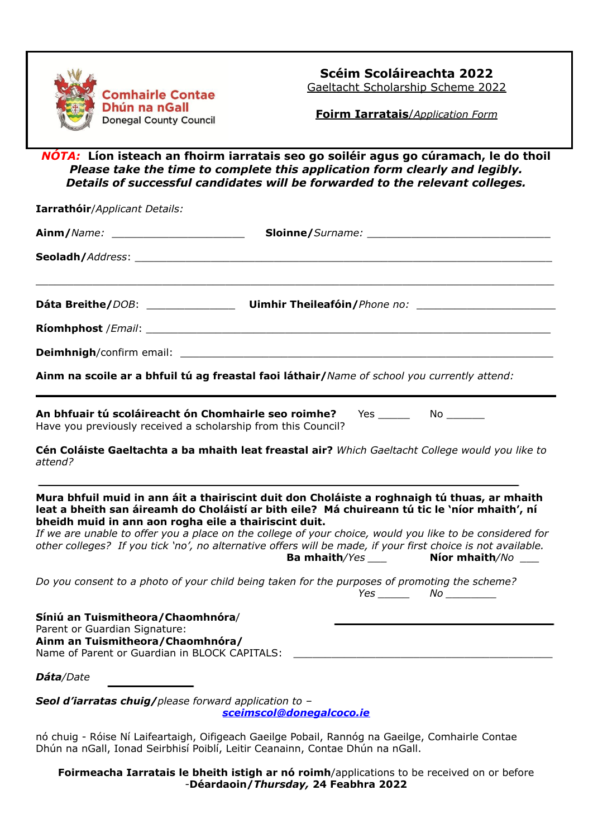

**Scéim Scoláireachta 2022** Gaeltacht Scholarship Scheme 2022

**Foirm Iarratais**/*Application Form*

*NÓTA:* **Líon isteach an fhoirm iarratais seo go soiléir agus go cúramach, le do thoil** *Please take the time to complete this application form clearly and legibly. Details of successful candidates will be forwarded to the relevant colleges.*

**Iarrathóir**/*Applicant Details:*

| Ainm na scoile ar a bhfuil tú ag freastal faoi láthair/Name of school you currently attend:                                     |
|---------------------------------------------------------------------------------------------------------------------------------|
| An bhfuair tú scoláireacht ón Chomhairle seo roimhe? Yes No No<br>Have you previously received a scholarship from this Council? |
| Cén Coláiste Gaeltachta a ba mhaith leat freastal air? Which Gaeltacht College would you like to<br>attend?                     |

**Mura bhfuil muid in ann áit a thairiscint duit don Choláiste a roghnaigh tú thuas, ar mhaith leat a bheith san áireamh do Choláistí ar bith eile? Má chuireann tú tic le 'níor mhaith', ní bheidh muid in ann aon rogha eile a thairiscint duit.**

If we are unable to offer you a place on the college of your choice, would you like to be considered for other colleges? If you tick 'no', no alternative offers will be made, if your first choice is not available. **Ba mhaith***/Yes \_\_\_* **Níor mhaith***/No \_\_\_*

*Do you consent to a photo of your child being taken for the purposes of promoting the scheme? Yes \_\_\_\_\_ No \_\_\_\_\_\_\_\_*

**Síniú an Tuismitheora/Chaomhnóra**/ Parent or Guardian Signature: **Ainm an Tuismitheora/Chaomhnóra/** Name of Parent or Guardian in BLOCK CAPITALS:

*Dáta/Date*

*Seol d'iarratas chuig/please forward application to –*

*[sceimscol@donegalcoco.ie](mailto:sceimscol@donegalcoco.ie)*

nó chuig - Róise Ní Laifeartaigh, Oifigeach Gaeilge Pobail, Rannóg na Gaeilge, Comhairle Contae Dhún na nGall, Ionad Seirbhisí Poiblí, Leitir Ceanainn, Contae Dhún na nGall.

**Foirmeacha Iarratais le bheith istigh ar nó roimh**/applications to be received on or before -**Déardaoin/***Thursday,* **24 Feabhra 2022**